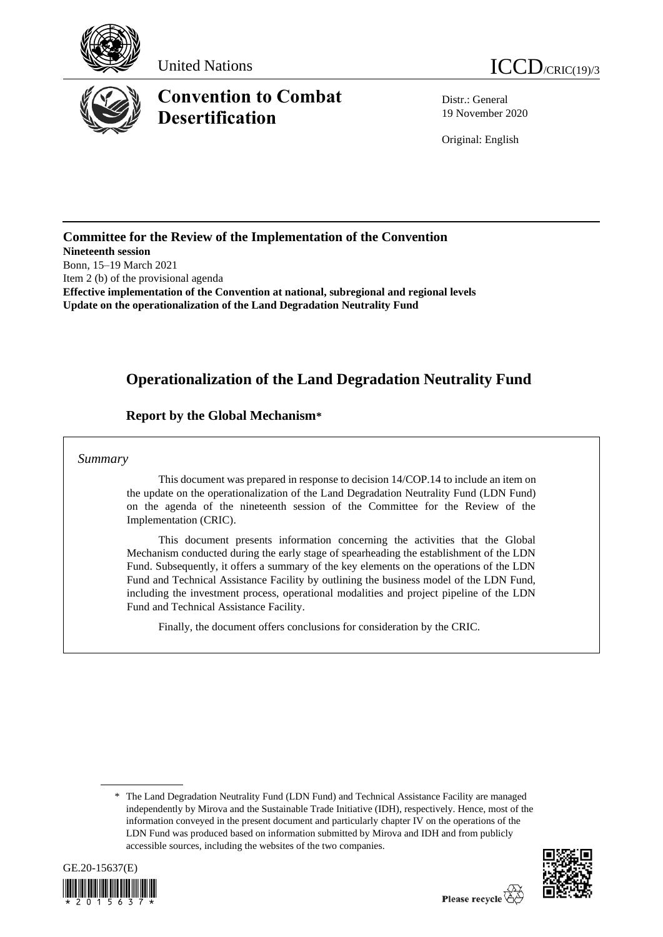





Distr.: General 19 November 2020

Original: English

**Committee for the Review of the Implementation of the Convention Nineteenth session** Bonn, 15–19 March 2021 Item 2 (b) of the provisional agenda **Effective implementation of the Convention at national, subregional and regional levels Update on the operationalization of the Land Degradation Neutrality Fund**

# **Operationalization of the Land Degradation Neutrality Fund**

#### **Report by the Global Mechanism\***

#### *Summary*

This document was prepared in response to decision 14/COP.14 to include an item on the update on the operationalization of the Land Degradation Neutrality Fund (LDN Fund) on the agenda of the nineteenth session of the Committee for the Review of the Implementation (CRIC).

This document presents information concerning the activities that the Global Mechanism conducted during the early stage of spearheading the establishment of the LDN Fund. Subsequently, it offers a summary of the key elements on the operations of the LDN Fund and Technical Assistance Facility by outlining the business model of the LDN Fund, including the investment process, operational modalities and project pipeline of the LDN Fund and Technical Assistance Facility.

Finally, the document offers conclusions for consideration by the CRIC.

<sup>\*</sup> The Land Degradation Neutrality Fund (LDN Fund) and Technical Assistance Facility are managed independently by Mirova and the Sustainable Trade Initiative (IDH), respectively. Hence, most of the information conveyed in the present document and particularly chapter IV on the operations of the LDN Fund was produced based on information submitted by Mirova and IDH and from publicly accessible sources, including the websites of the two companies.



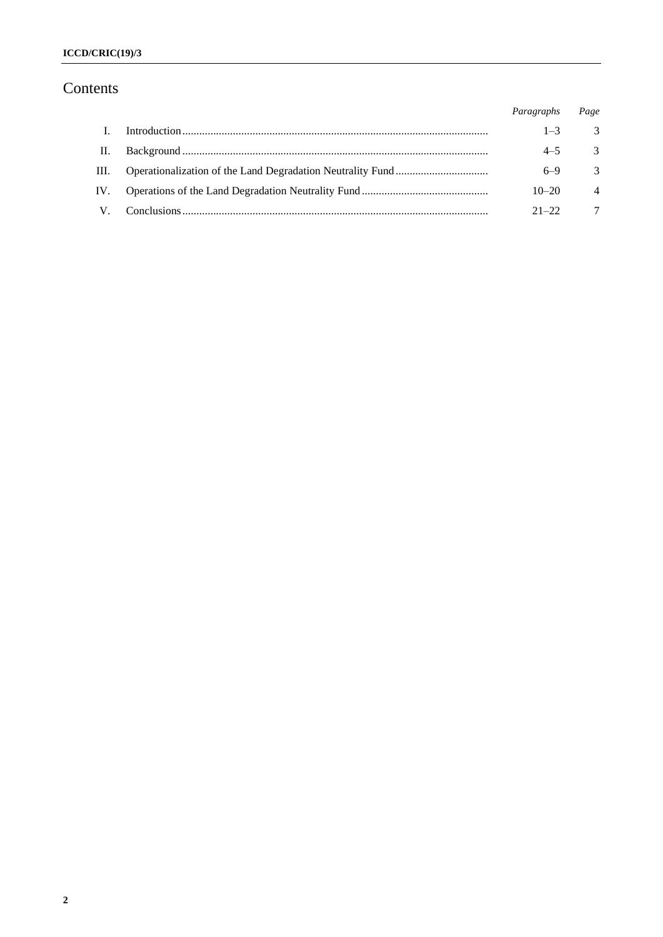# Contents

|                      | Paragraphs | Page                      |
|----------------------|------------|---------------------------|
| $\mathbf{L}$         | $1 - 3$    | $\overline{\phantom{a}3}$ |
| П.                   | $4 - 5$    | $\overline{\mathbf{3}}$   |
| Ш.                   | $6 - 9$    | 3                         |
| IV.                  | $10 - 20$  | $\overline{4}$            |
| $\mathbf{V}_{\cdot}$ | $21 - 22$  | $7\phantom{.0}$           |
|                      |            |                           |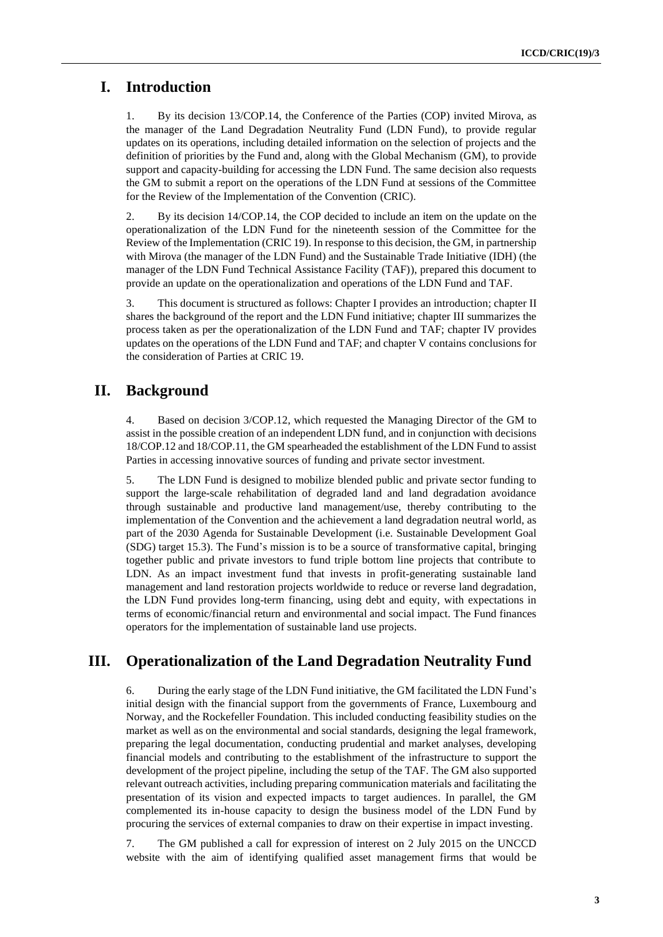### **I. Introduction**

1. By its decision 13/COP.14, the Conference of the Parties (COP) invited Mirova, as the manager of the Land Degradation Neutrality Fund (LDN Fund), to provide regular updates on its operations, including detailed information on the selection of projects and the definition of priorities by the Fund and, along with the Global Mechanism (GM), to provide support and capacity-building for accessing the LDN Fund. The same decision also requests the GM to submit a report on the operations of the LDN Fund at sessions of the Committee for the Review of the Implementation of the Convention (CRIC).

2. By its decision 14/COP.14, the COP decided to include an item on the update on the operationalization of the LDN Fund for the nineteenth session of the Committee for the Review of the Implementation (CRIC 19). In response to this decision, the GM, in partnership with Mirova (the manager of the LDN Fund) and the Sustainable Trade Initiative (IDH) (the manager of the LDN Fund Technical Assistance Facility (TAF)), prepared this document to provide an update on the operationalization and operations of the LDN Fund and TAF.

3. This document is structured as follows: Chapter I provides an introduction; chapter II shares the background of the report and the LDN Fund initiative; chapter III summarizes the process taken as per the operationalization of the LDN Fund and TAF; chapter IV provides updates on the operations of the LDN Fund and TAF; and chapter V contains conclusions for the consideration of Parties at CRIC 19.

### **II. Background**

4. Based on decision 3/COP.12, which requested the Managing Director of the GM to assist in the possible creation of an independent LDN fund, and in conjunction with decisions 18/COP.12 and 18/COP.11, the GM spearheaded the establishment of the LDN Fund to assist Parties in accessing innovative sources of funding and private sector investment.

5. The LDN Fund is designed to mobilize blended public and private sector funding to support the large-scale rehabilitation of degraded land and land degradation avoidance through sustainable and productive land management/use, thereby contributing to the implementation of the Convention and the achievement a land degradation neutral world, as part of the 2030 Agenda for Sustainable Development (i.e. Sustainable Development Goal (SDG) target 15.3). The Fund's mission is to be a source of transformative capital, bringing together public and private investors to fund triple bottom line projects that contribute to LDN. As an impact investment fund that invests in profit-generating sustainable land management and land restoration projects worldwide to reduce or reverse land degradation, the LDN Fund provides long-term financing, using debt and equity, with expectations in terms of economic/financial return and environmental and social impact. The Fund finances operators for the implementation of sustainable land use projects.

## **III. Operationalization of the Land Degradation Neutrality Fund**

6. During the early stage of the LDN Fund initiative, the GM facilitated the LDN Fund's initial design with the financial support from the governments of France, Luxembourg and Norway, and the Rockefeller Foundation. This included conducting feasibility studies on the market as well as on the environmental and social standards, designing the legal framework, preparing the legal documentation, conducting prudential and market analyses, developing financial models and contributing to the establishment of the infrastructure to support the development of the project pipeline, including the setup of the TAF. The GM also supported relevant outreach activities, including preparing communication materials and facilitating the presentation of its vision and expected impacts to target audiences. In parallel, the GM complemented its in-house capacity to design the business model of the LDN Fund by procuring the services of external companies to draw on their expertise in impact investing.

7. The GM published a call for expression of interest on 2 July 2015 on the UNCCD website with the aim of identifying qualified asset management firms that would be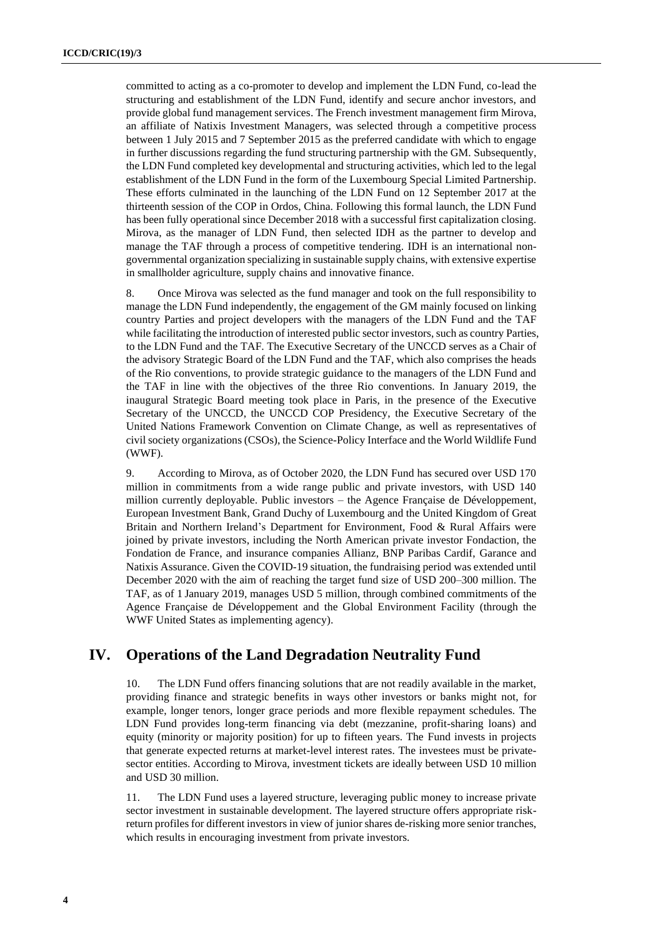committed to acting as a co-promoter to develop and implement the LDN Fund, co-lead the structuring and establishment of the LDN Fund, identify and secure anchor investors, and provide global fund management services. The French investment management firm Mirova, an affiliate of Natixis Investment Managers, was selected through a competitive process between 1 July 2015 and 7 September 2015 as the preferred candidate with which to engage in further discussions regarding the fund structuring partnership with the GM. Subsequently, the LDN Fund completed key developmental and structuring activities, which led to the legal establishment of the LDN Fund in the form of the Luxembourg Special Limited Partnership. These efforts culminated in the launching of the LDN Fund on 12 September 2017 at the thirteenth session of the COP in Ordos, China. Following this formal launch, the LDN Fund has been fully operational since December 2018 with a successful first capitalization closing. Mirova, as the manager of LDN Fund, then selected IDH as the partner to develop and manage the TAF through a process of competitive tendering. IDH is an international nongovernmental organization specializing in sustainable supply chains, with extensive expertise in smallholder agriculture, supply chains and innovative finance.

8. Once Mirova was selected as the fund manager and took on the full responsibility to manage the LDN Fund independently, the engagement of the GM mainly focused on linking country Parties and project developers with the managers of the LDN Fund and the TAF while facilitating the introduction of interested public sector investors, such as country Parties, to the LDN Fund and the TAF. The Executive Secretary of the UNCCD serves as a Chair of the advisory Strategic Board of the LDN Fund and the TAF, which also comprises the heads of the Rio conventions, to provide strategic guidance to the managers of the LDN Fund and the TAF in line with the objectives of the three Rio conventions. In January 2019, the inaugural Strategic Board meeting took place in Paris, in the presence of the Executive Secretary of the UNCCD, the UNCCD COP Presidency, the Executive Secretary of the United Nations Framework Convention on Climate Change, as well as representatives of civil society organizations (CSOs), the Science-Policy Interface and the World Wildlife Fund (WWF).

9. According to Mirova, as of October 2020, the LDN Fund has secured over USD 170 million in commitments from a wide range public and private investors, with USD 140 million currently deployable. Public investors – the Agence Française de Développement, European Investment Bank, Grand Duchy of Luxembourg and the United Kingdom of Great Britain and Northern Ireland's Department for Environment, Food & Rural Affairs were joined by private investors, including the North American private investor Fondaction, the Fondation de France, and insurance companies Allianz, BNP Paribas Cardif, Garance and Natixis Assurance. Given the COVID-19 situation, the fundraising period was extended until December 2020 with the aim of reaching the target fund size of USD 200–300 million. The TAF, as of 1 January 2019, manages USD 5 million, through combined commitments of the Agence Française de Développement and the Global Environment Facility (through the WWF United States as implementing agency).

#### **IV. Operations of the Land Degradation Neutrality Fund**

10. The LDN Fund offers financing solutions that are not readily available in the market, providing finance and strategic benefits in ways other investors or banks might not, for example, longer tenors, longer grace periods and more flexible repayment schedules. The LDN Fund provides long-term financing via debt (mezzanine, profit-sharing loans) and equity (minority or majority position) for up to fifteen years. The Fund invests in projects that generate expected returns at market-level interest rates. The investees must be privatesector entities. According to Mirova, investment tickets are ideally between USD 10 million and USD 30 million.

11. The LDN Fund uses a layered structure, leveraging public money to increase private sector investment in sustainable development. The layered structure offers appropriate riskreturn profiles for different investors in view of junior shares de-risking more senior tranches, which results in encouraging investment from private investors.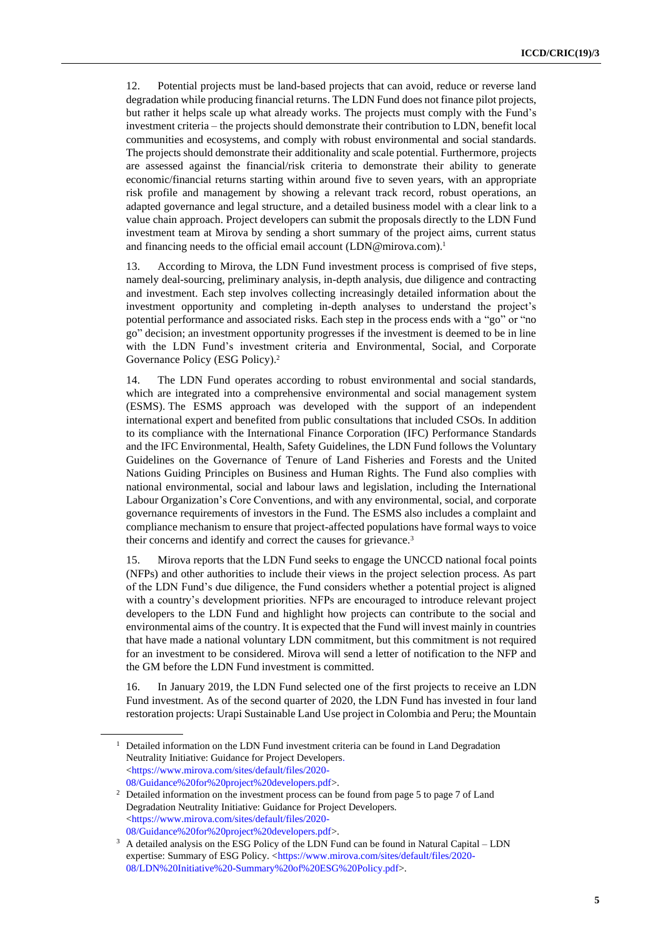12. Potential projects must be land-based projects that can avoid, reduce or reverse land degradation while producing financial returns. The LDN Fund does not finance pilot projects, but rather it helps scale up what already works. The projects must comply with the Fund's investment criteria – the projects should demonstrate their contribution to LDN, benefit local communities and ecosystems, and comply with robust environmental and social standards. The projects should demonstrate their additionality and scale potential. Furthermore, projects are assessed against the financial/risk criteria to demonstrate their ability to generate economic/financial returns starting within around five to seven years, with an appropriate risk profile and management by showing a relevant track record, robust operations, an adapted governance and legal structure, and a detailed business model with a clear link to a value chain approach. Project developers can submit the proposals directly to the LDN Fund investment team at Mirova by sending a short summary of the project aims, current status and financing needs to the official email account (LDN@mirova.com).<sup>1</sup>

13. According to Mirova, the LDN Fund investment process is comprised of five steps, namely deal-sourcing, preliminary analysis, in-depth analysis, due diligence and contracting and investment. Each step involves collecting increasingly detailed information about the investment opportunity and completing in-depth analyses to understand the project's potential performance and associated risks. Each step in the process ends with a "go" or "no go" decision; an investment opportunity progresses if the investment is deemed to be in line with the LDN Fund's investment criteria and Environmental, Social, and Corporate Governance Policy (ESG Policy). 2

14. The LDN Fund operates according to robust environmental and social standards, which are integrated into a comprehensive environmental and social management system (ESMS). The ESMS approach was developed with the support of an independent international expert and benefited from public consultations that included CSOs. In addition to its compliance with the International Finance Corporation (IFC) Performance Standards and the IFC Environmental, Health, Safety Guidelines, the LDN Fund follows the Voluntary Guidelines on the Governance of Tenure of Land Fisheries and Forests and the United Nations Guiding Principles on Business and Human Rights. The Fund also complies with national environmental, social and labour laws and legislation, including the International Labour Organization's Core Conventions, and with any environmental, social, and corporate governance requirements of investors in the Fund. The ESMS also includes a complaint and compliance mechanism to ensure that project-affected populations have formal ways to voice their concerns and identify and correct the causes for grievance.<sup>3</sup>

15. Mirova reports that the LDN Fund seeks to engage the UNCCD national focal points (NFPs) and other authorities to include their views in the project selection process. As part of the LDN Fund's due diligence, the Fund considers whether a potential project is aligned with a country's development priorities. NFPs are encouraged to introduce relevant project developers to the LDN Fund and highlight how projects can contribute to the social and environmental aims of the country. It is expected that the Fund will invest mainly in countries that have made a national voluntary LDN commitment, but this commitment is not required for an investment to be considered. Mirova will send a letter of notification to the NFP and the GM before the LDN Fund investment is committed.

16. In January 2019, the LDN Fund selected one of the first projects to receive an LDN Fund investment. As of the second quarter of 2020, the LDN Fund has invested in four land restoration projects: Urapi Sustainable Land Use project in Colombia and Peru; the Mountain

 $1$  Detailed information on the LDN Fund investment criteria can be found in Land Degradation Neutrality Initiative: Guidance for Project Developers. [<https://www.mirova.com/sites/default/files/2020-](https://www.mirova.com/sites/default/files/2020-08/Guidance%20for%20project%20developers.pdf) [08/Guidance%20for%20project%20developers.pdf>](https://www.mirova.com/sites/default/files/2020-08/Guidance%20for%20project%20developers.pdf).

<sup>&</sup>lt;sup>2</sup> Detailed information on the investment process can be found from page 5 to page 7 of Land Degradation Neutrality Initiative: Guidance for Project Developers. [<https://www.mirova.com/sites/default/files/2020-](https://www.mirova.com/sites/default/files/2020-08/Guidance%20for%20project%20developers.pdf) [08/Guidance%20for%20project%20developers.pdf>](https://www.mirova.com/sites/default/files/2020-08/Guidance%20for%20project%20developers.pdf).

<sup>&</sup>lt;sup>3</sup> A detailed analysis on the ESG Policy of the LDN Fund can be found in Natural Capital – LDN expertise: Summary of ESG Policy. [<https://www.mirova.com/sites/default/files/2020-](https://www.mirova.com/sites/default/files/2020-08/LDN%20Initiative%20-Summary%20of%20ESG%20Policy.pdf) [08/LDN%20Initiative%20-Summary%20of%20ESG%20Policy.pdf>](https://www.mirova.com/sites/default/files/2020-08/LDN%20Initiative%20-Summary%20of%20ESG%20Policy.pdf).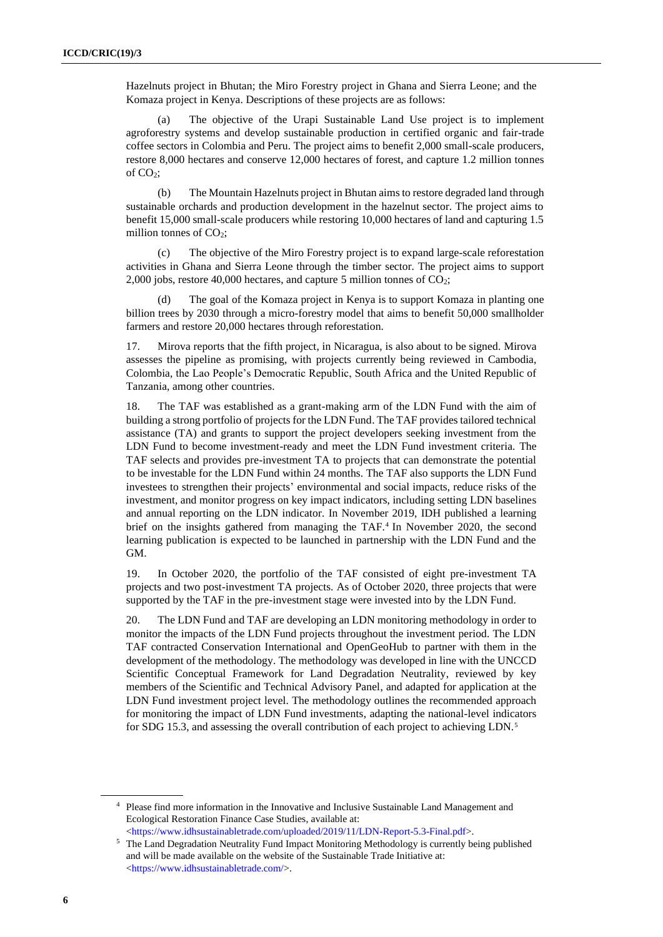Hazelnuts project in Bhutan; the Miro Forestry project in Ghana and Sierra Leone; and the Komaza project in Kenya. Descriptions of these projects are as follows:

(a) The objective of the Urapi Sustainable Land Use project is to implement agroforestry systems and develop sustainable production in certified organic and fair-trade coffee sectors in Colombia and Peru. The project aims to benefit 2,000 small-scale producers, restore 8,000 hectares and conserve 12,000 hectares of forest, and capture 1.2 million tonnes of  $CO<sub>2</sub>$ ;

(b) The Mountain Hazelnuts project in Bhutan aims to restore degraded land through sustainable orchards and production development in the hazelnut sector. The project aims to benefit 15,000 small-scale producers while restoring 10,000 hectares of land and capturing 1.5 million tonnes of  $CO<sub>2</sub>$ ;

(c) The objective of the Miro Forestry project is to expand large-scale reforestation activities in Ghana and Sierra Leone through the timber sector. The project aims to support 2,000 jobs, restore 40,000 hectares, and capture 5 million tonnes of  $CO<sub>2</sub>$ ;

(d) The goal of the Komaza project in Kenya is to support Komaza in planting one billion trees by 2030 through a micro-forestry model that aims to benefit 50,000 smallholder farmers and restore 20,000 hectares through reforestation.

17. Mirova reports that the fifth project, in Nicaragua, is also about to be signed. Mirova assesses the pipeline as promising, with projects currently being reviewed in Cambodia, Colombia, the Lao People's Democratic Republic, South Africa and the United Republic of Tanzania, among other countries.

18. The TAF was established as a grant-making arm of the LDN Fund with the aim of building a strong portfolio of projects for the LDN Fund. The TAF provides tailored technical assistance (TA) and grants to support the project developers seeking investment from the LDN Fund to become investment-ready and meet the LDN Fund investment criteria. The TAF selects and provides pre-investment TA to projects that can demonstrate the potential to be investable for the LDN Fund within 24 months. The TAF also supports the LDN Fund investees to strengthen their projects' environmental and social impacts, reduce risks of the investment, and monitor progress on key impact indicators, including setting LDN baselines and annual reporting on the LDN indicator. In November 2019, IDH published a learning brief on the insights gathered from managing the TAF. 4 In November 2020, the second learning publication is expected to be launched in partnership with the LDN Fund and the GM.

19. In October 2020, the portfolio of the TAF consisted of eight pre-investment TA projects and two post-investment TA projects. As of October 2020, three projects that were supported by the TAF in the pre-investment stage were invested into by the LDN Fund.

20. The LDN Fund and TAF are developing an LDN monitoring methodology in order to monitor the impacts of the LDN Fund projects throughout the investment period. The LDN TAF contracted Conservation International and OpenGeoHub to partner with them in the development of the methodology. The methodology was developed in line with the UNCCD Scientific Conceptual Framework for Land Degradation Neutrality, reviewed by key members of the Scientific and Technical Advisory Panel, and adapted for application at the LDN Fund investment project level. The methodology outlines the recommended approach for monitoring the impact of LDN Fund investments, adapting the national-level indicators for SDG 15.3, and assessing the overall contribution of each project to achieving LDN.<sup>5</sup>

<sup>4</sup> Please find more information in the Innovative and Inclusive Sustainable Land Management and Ecological Restoration Finance Case Studies, available at: [<https://www.idhsustainabletrade.com/uploaded/2019/11/LDN-Report-5.3-Final.pdf>](https://www.idhsustainabletrade.com/uploaded/2019/11/LDN-Report-5.3-Final.pdf).

<sup>&</sup>lt;sup>5</sup> The Land Degradation Neutrality Fund Impact Monitoring Methodology is currently being published and will be made available on the website of the Sustainable Trade Initiative at: [<https://www.idhsustainabletrade.com/>](https://www.idhsustainabletrade.com/).